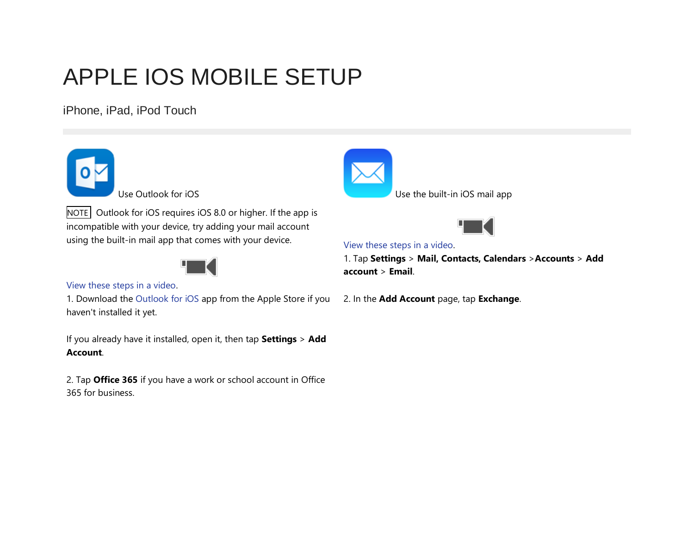# APPLE IOS MOBILE SETUP

iPhone, iPad, iPod Touch



NOTE Outlook for iOS requires iOS 8.0 or higher. If the app is incompatible with your device, try adding your mail account using the built-in mail app that comes with your device.



## [View these steps in a video.](https://support.office.com/en-ca/article/Set-up-email-on-iPhone-iPad-or-iPod-Touch-b2de2161-cc1d-49ef-9ef9-81acd1c8e234#BKMK_VideoO365Outlook)

1. Download the [Outlook for iOS](http://go.microsoft.com/fwlink/?LinkId=523809) app from the Apple Store if you 2. In the **Add Account** page, tap **Exchange**.haven't installed it yet.

If you already have it installed, open it, then tap **Settings** > **Add Account**.

2. Tap **Office 365** if you have a work or school account in Office 365 for business.



Use Outlook for iOS Use the built-in iOS mail app



[View these steps in a video.](https://support.office.com/en-ca/article/Set-up-email-on-iPhone-iPad-or-iPod-Touch-b2de2161-cc1d-49ef-9ef9-81acd1c8e234#BKMK_VideoWorkSchoolMailApp)

1. Tap **Settings** > **Mail, Contacts, Calendars** >**Accounts** > **Add account** > **Email**.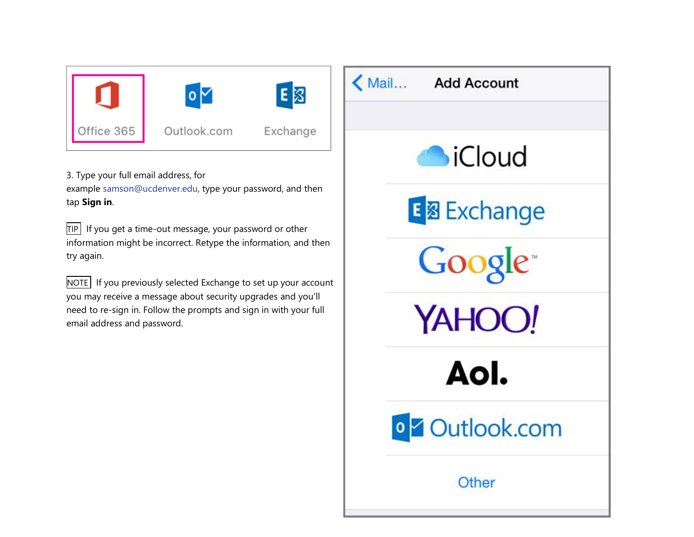

3. Type your full email address, for example [samson@ucdenver.edu,](mailto:samson@ucdenver.edu) type your password, and then tap **Sign in**.

 $TIP$  If you get a time-out message, your password or other information might be incorrect. Retype the information, and then try again.

 $\vert$ NOTE  $\vert$  If you previously selected Exchange to set up your account you may receive a message about security upgrades and you'll need to re-sign in. Follow the prompts and sign in with your full email address and password.

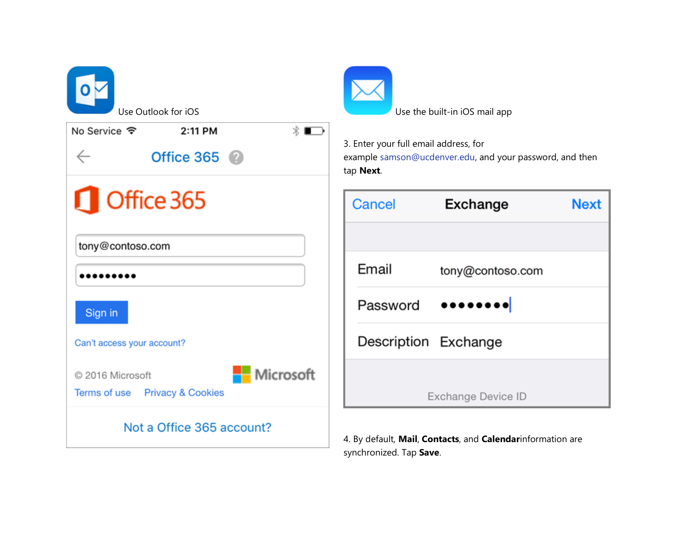| Use Outlook for iOS                                                                            | Use the built-in iOS mail app                                                                                  |             |
|------------------------------------------------------------------------------------------------|----------------------------------------------------------------------------------------------------------------|-------------|
| $\ast \blacksquare$<br>No Service $\hat{\bm{\tau}}$<br>2:11 PM<br>Office $365$<br>$\leftarrow$ | 3. Enter your full email address, for<br>example samson@ucdenver.edu, and your password, and then<br>tap Next. |             |
| <b>C</b> Office 365                                                                            | Cancel<br><b>Exchange</b>                                                                                      | <b>Next</b> |
| tony@contoso.com                                                                               |                                                                                                                |             |
|                                                                                                | Email<br>tony@contoso.com                                                                                      |             |
| Sign in                                                                                        | <br>Password                                                                                                   |             |
| Can't access your account?                                                                     | Description Exchange                                                                                           |             |
| Microsoft<br>© 2016 Microsoft<br>Terms of use Privacy & Cookies                                | Exchange Device ID                                                                                             |             |
| Not a Office 365 account?                                                                      | 4. By default, Mail, Contacts, and Calendarinformation are<br>synchronized. Tap Save.                          |             |

**Next**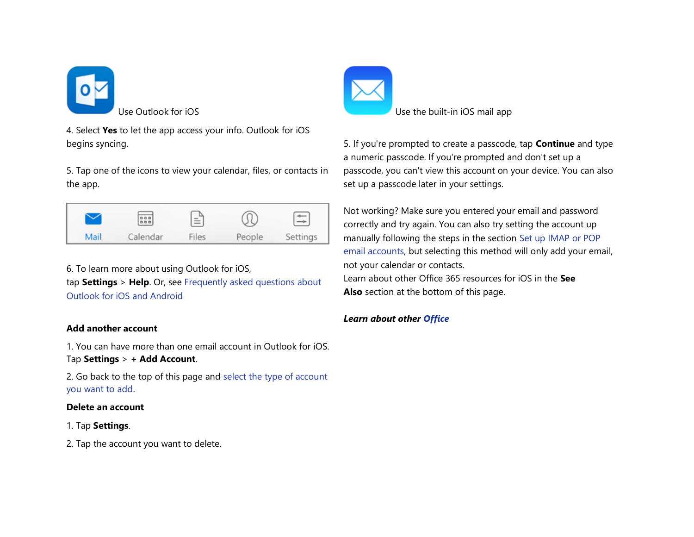

4. Select **Yes** to let the app access your info. Outlook for iOS begins syncing.

5. Tap one of the icons to view your calendar, files, or contacts in the app.



6. To learn more about using Outlook for iOS, tap **Settings** > **Help**. Or, see [Frequently asked questions about](https://support.office.com/en-us/learn/outlook-for-ios-and-android-faq)  [Outlook for iOS and Android](https://support.office.com/en-us/learn/outlook-for-ios-and-android-faq)

## **Add another account**

1. You can have more than one email account in Outlook for iOS. Tap **Settings** > **+ Add Account**.

2. Go back to the top of this page and [select the type of account](https://support.office.com/en-ca/article/select-the-type-of-account-you-want-to-add-b2de2161-cc1d-49ef-9ef9-81acd1c8e234)  [you want to add.](https://support.office.com/en-ca/article/select-the-type-of-account-you-want-to-add-b2de2161-cc1d-49ef-9ef9-81acd1c8e234)

#### **Delete an account**

## 1. Tap **Settings**.

2. Tap the account you want to delete.



Use Outlook for iOS **Use the built-in iOS** mail app

5. If you're prompted to create a passcode, tap **Continue** and type a numeric passcode. If you're prompted and don't set up a passcode, you can't view this account on your device. You can also set up a passcode later in your settings.

Not working? Make sure you entered your email and password correctly and try again. You can also try setting the account up manually following the steps in the section [Set up IMAP or POP](https://support.office.com/en-ca/article/Set-up-email-on-iPhone-iPad-or-iPod-Touch-b2de2161-cc1d-49ef-9ef9-81acd1c8e234#BKMK_IMAPorPOP)  [email accounts,](https://support.office.com/en-ca/article/Set-up-email-on-iPhone-iPad-or-iPod-Touch-b2de2161-cc1d-49ef-9ef9-81acd1c8e234#BKMK_IMAPorPOP) but selecting this method will only add your email, not your calendar or contacts. Learn about other Office 365 resources for iOS in the **See Also** section at the bottom of this page.

## *Learn about other [Office](https://support.office.com/en-ca/article/Office-365-iOS-apps-7dabb6cb-0046-40b6-81fe-767e0b1f014f#bkmk_ios)*